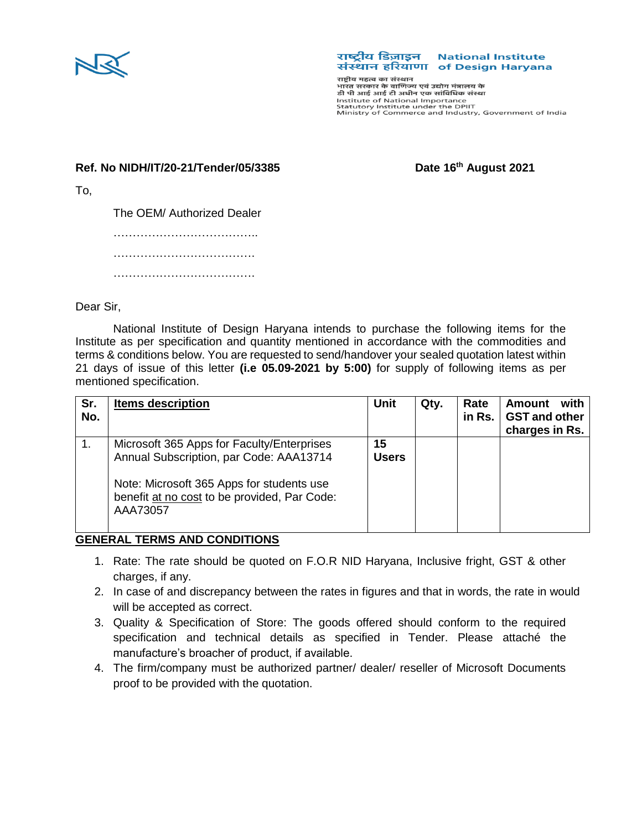

## राष्ट्रीय डिज़ाइन National Institute संस्थान हरियाणा of Design Haryana

राष्ट्रीय महत्व का संस्थान सद्भाव नहरव का सरका ।<br>भारत सरकार के वाणिज्य एवं उद्योग मंत्रालय के डी पी आई आई टी अधीन एक सांविधिक संस्था Institute of National Importance Statutory Institute under the DPIIT<br>Statutory Institute under the DPIIT<br>Ministry of Commerce and Industry, Government of India

## **Ref. No NIDH/IT/20-21/Tender/05/3385 Date 16th August 2021**

To,

The OEM/ Authorized Dealer ………………………………..

…………………………………………… ……………………………………………

Dear Sir,

National Institute of Design Haryana intends to purchase the following items for the Institute as per specification and quantity mentioned in accordance with the commodities and terms & conditions below. You are requested to send/handover your sealed quotation latest within 21 days of issue of this letter **(i.e 05.09-2021 by 5:00)** for supply of following items as per mentioned specification.

| Sr.<br>No. | <b>Items description</b>                                                                                                                                                                       | <b>Unit</b>        | Qty. | Rate<br>in Rs. | with<br><b>Amount</b><br><b>GST and other</b><br>charges in Rs. |
|------------|------------------------------------------------------------------------------------------------------------------------------------------------------------------------------------------------|--------------------|------|----------------|-----------------------------------------------------------------|
|            | Microsoft 365 Apps for Faculty/Enterprises<br>Annual Subscription, par Code: AAA13714<br>Note: Microsoft 365 Apps for students use<br>benefit at no cost to be provided, Par Code:<br>AAA73057 | 15<br><b>Users</b> |      |                |                                                                 |

## **GENERAL TERMS AND CONDITIONS**

- 1. Rate: The rate should be quoted on F.O.R NID Haryana, Inclusive fright, GST & other charges, if any.
- 2. In case of and discrepancy between the rates in figures and that in words, the rate in would will be accepted as correct.
- 3. Quality & Specification of Store: The goods offered should conform to the required specification and technical details as specified in Tender. Please attaché the manufacture's broacher of product, if available.
- 4. The firm/company must be authorized partner/ dealer/ reseller of Microsoft Documents proof to be provided with the quotation.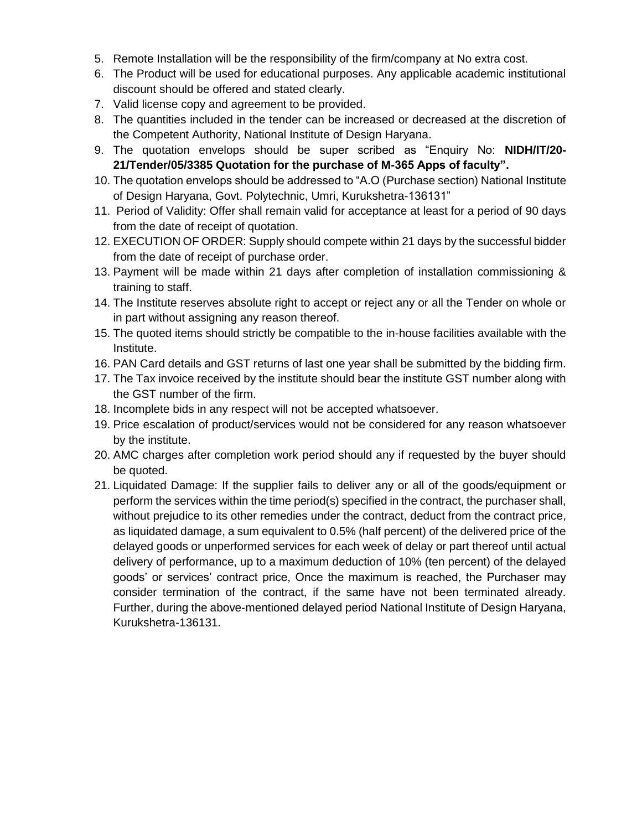- 5. Remote Installation will be the responsibility of the firm/company at No extra cost.
- 6. The Product will be used for educational purposes. Any applicable academic institutional discount should be offered and stated clearly.
- 7. Valid license copy and agreement to be provided.
- 8. The quantities included in the tender can be increased or decreased at the discretion of the Competent Authority, National Institute of Design Haryana.
- 9. The quotation envelops should be super scribed as "Enquiry No: **NIDH/IT/20- 21/Tender/05/3385 Quotation for the purchase of M-365 Apps of faculty".**
- 10. The quotation envelops should be addressed to "A.O (Purchase section) National Institute of Design Haryana, Govt. Polytechnic, Umri, Kurukshetra-136131"
- 11. Period of Validity: Offer shall remain valid for acceptance at least for a period of 90 days from the date of receipt of quotation.
- 12. EXECUTION OF ORDER: Supply should compete within 21 days by the successful bidder from the date of receipt of purchase order.
- 13. Payment will be made within 21 days after completion of installation commissioning & training to staff.
- 14. The Institute reserves absolute right to accept or reject any or all the Tender on whole or in part without assigning any reason thereof.
- 15. The quoted items should strictly be compatible to the in-house facilities available with the Institute.
- 16. PAN Card details and GST returns of last one year shall be submitted by the bidding firm.
- 17. The Tax invoice received by the institute should bear the institute GST number along with the GST number of the firm.
- 18. Incomplete bids in any respect will not be accepted whatsoever.
- 19. Price escalation of product/services would not be considered for any reason whatsoever by the institute.
- 20. AMC charges after completion work period should any if requested by the buyer should be quoted.
- 21. Liquidated Damage: If the supplier fails to deliver any or all of the goods/equipment or perform the services within the time period(s) specified in the contract, the purchaser shall, without prejudice to its other remedies under the contract, deduct from the contract price, as liquidated damage, a sum equivalent to 0.5% (half percent) of the delivered price of the delayed goods or unperformed services for each week of delay or part thereof until actual delivery of performance, up to a maximum deduction of 10% (ten percent) of the delayed goods' or services' contract price, Once the maximum is reached, the Purchaser may consider termination of the contract, if the same have not been terminated already. Further, during the above-mentioned delayed period National Institute of Design Haryana, Kurukshetra-136131.